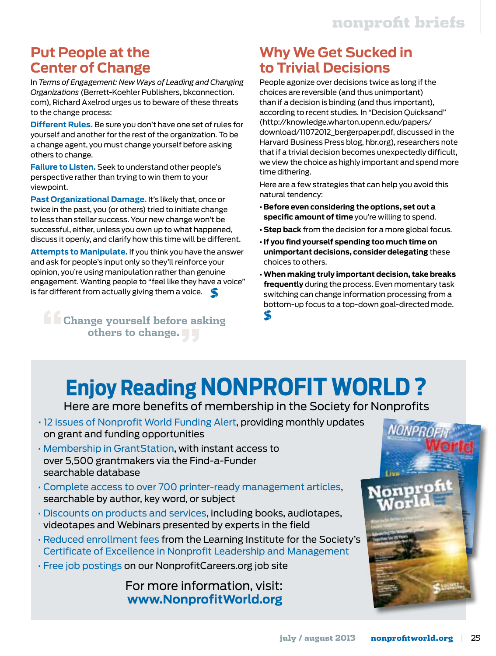### **Put People at the Center of Change**

In *Terms of Engagement: New Ways of Leading and Changing Organizations* (Berrett-Koehler Publishers, bkconnection. com), Richard Axelrod urges us to beware of these threats to the change process:

**Different Rules.** Be sure you don't have one set of rules for yourself and another for the rest of the organization. To be a change agent, you must change yourself before asking others to change.

**Failure to Listen.** Seek to understand other people's perspective rather than trying to win them to your viewpoint.

**Past Organizational Damage.** It's likely that, once or twice in the past, you (or others) tried to initiate change to less than stellar success. Your new change won't be successful, either, unless you own up to what happened, discuss it openly, and clarify how this time will be different.

**Attempts to Manipulate.** If you think you have the answer and ask for people's input only so they'll reinforce your opinion, you're using manipulation rather than genuine engagement. Wanting people to "feel like they have a voice" is far different from actually giving them a voice.

**"Change yourself before asking others to change."**

### **Why We Get Sucked in to Trivial Decisions**

People agonize over decisions twice as long if the choices are reversible (and thus unimportant) than if a decision is binding (and thus important), according to recent studies. In "Decision Quicksand" (http://knowledge.wharton.upenn.edu/papers/ download/11072012\_bergerpaper.pdf, discussed in the Harvard Business Press blog, hbr.org), researchers note that if a trivial decision becomes unexpectedly difficult, we view the choice as highly important and spend more time dithering.

Here are a few strategies that can help you avoid this natural tendency:

- **Before even considering the options, set out a specific amount of time** you're willing to spend.
- **Step back** from the decision for a more global focus.
- **If you find yourself spending too much time on unimportant decisions, consider delegating** these choices to others.
- **When making truly important decision, take breaks frequently** during the process. Even momentary task switching can change information processing from a bottom-up focus to a top-down goal-directed mode.5

# **Enjoy Reading NONPROFIT WORLD ?**

Here are more benefits of membership in the Society for Nonprofits

- 12 issues of Nonprofit World Funding Alert, providing monthly updates on grant and funding opportunities
- Membership in GrantStation, with instant access to over 5,500 grantmakers via the Find-a-Funder searchable database
- Complete access to over 700 printer-ready management articles, searchable by author, key word, or subject
- Discounts on products and services, including books, audiotapes, videotapes and Webinars presented by experts in the field
- Reduced enrollment fees from the Learning Institute for the Society's Certificate of Excellence in Nonprofit Leadership and Management
- Free job postings on our NonprofitCareers.org job site

For more information, visit: **www.NonprofitWorld.org**

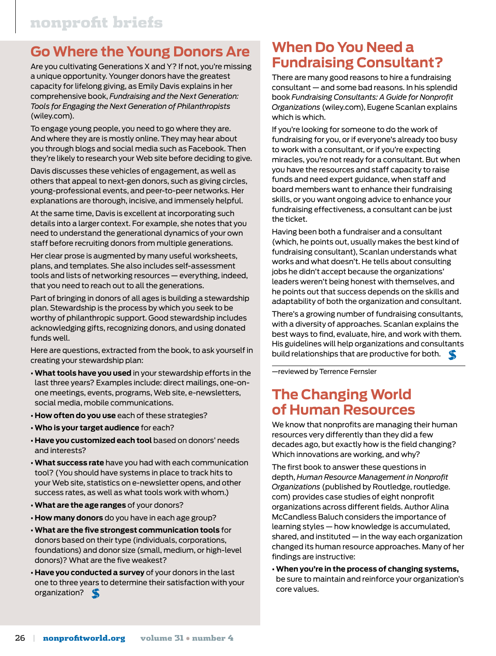## **Go Where the Young Donors Are**

Are you cultivating Generations X and Y? If not, you're missing a unique opportunity. Younger donors have the greatest capacity for lifelong giving, as Emily Davis explains in her comprehensive book, *Fundraising and the Next Generation: Tools for Engaging the Next Generation of Philanthropists* (wiley.com).

To engage young people, you need to go where they are. And where they are is mostly online. They may hear about you through blogs and social media such as Facebook. Then they're likely to research your Web site before deciding to give.

Davis discusses these vehicles of engagement, as well as others that appeal to next-gen donors, such as giving circles, young-professional events, and peer-to-peer networks. Her explanations are thorough, incisive, and immensely helpful.

At the same time, Davis is excellent at incorporating such details into a larger context. For example, she notes that you need to understand the generational dynamics of your own staff before recruiting donors from multiple generations.

Her clear prose is augmented by many useful worksheets, plans, and templates. She also includes self-assessment tools and lists of networking resources — everything, indeed, that you need to reach out to all the generations.

Part of bringing in donors of all ages is building a stewardship plan. Stewardship is the process by which you seek to be worthy of philanthropic support. Good stewardship includes acknowledging gifts, recognizing donors, and using donated funds well.

Here are questions, extracted from the book, to ask yourself in creating your stewardship plan:

- **What tools have you used** in your stewardship efforts in the last three years? Examples include: direct mailings, one-onone meetings, events, programs, Web site, e-newsletters, social media, mobile communications.
- **How often do you use** each of these strategies?
- **Who is your target audience** for each?
- **Have you customized each tool** based on donors' needs and interests?
- **What success rate** have you had with each communication tool? (You should have systems in place to track hits to your Web site, statistics on e-newsletter opens, and other success rates, as well as what tools work with whom.)
- **What are the age ranges** of your donors?
- **How many donors** do you have in each age group?
- **What are the five strongest communication tools** for donors based on their type (individuals, corporations, foundations) and donor size (small, medium, or high-level donors)? What are the five weakest?
- **Have you conducted a survey** of your donors in the last one to three years to determine their satisfaction with your organization?

### **When Do You Need a Fundraising Consultant?**

There are many good reasons to hire a fundraising consultant — and some bad reasons. In his splendid book *Fundraising Consultants: A Guide for Nonprofit Organizations* (wiley.com), Eugene Scanlan explains which is which.

If you're looking for someone to do the work of fundraising for you, or if everyone's already too busy to work with a consultant, or if you're expecting miracles, you're not ready for a consultant. But when you have the resources and staff capacity to raise funds and need expert guidance, when staff and board members want to enhance their fundraising skills, or you want ongoing advice to enhance your fundraising effectiveness, a consultant can be just the ticket.

Having been both a fundraiser and a consultant (which, he points out, usually makes the best kind of fundraising consultant), Scanlan understands what works and what doesn't. He tells about consulting jobs he didn't accept because the organizations' leaders weren't being honest with themselves, and he points out that success depends on the skills and adaptability of both the organization and consultant.

There's a growing number of fundraising consultants, with a diversity of approaches. Scanlan explains the best ways to find, evaluate, hire, and work with them. His guidelines will help organizations and consultants build relationships that are productive for both.

—reviewed by Terrence Fernsler

#### **The Changing World of Human Resources**

We know that nonprofits are managing their human resources very differently than they did a few decades ago, but exactly how is the field changing? Which innovations are working, and why?

The first book to answer these questions in depth, *Human Resource Management in Nonprofit Organizations* (published by Routledge, routledge. com) provides case studies of eight nonprofit organizations across different fields. Author Alina McCandless Baluch considers the importance of learning styles — how knowledge is accumulated, shared, and instituted — in the way each organization changed its human resource approaches. Many of her findings are instructive:

**• When you're in the process of changing systems,** be sure to maintain and reinforce your organization's core values.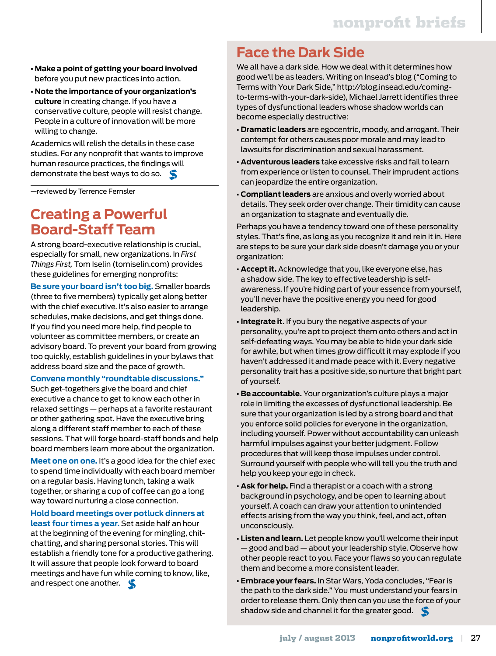- **Make a point of getting your board involved** before you put new practices into action.
- **Note the importance of your organization's culture** in creating change. If you have a conservative culture, people will resist change. People in a culture of innovation will be more willing to change.

Academics will relish the details in these case studies. For any nonprofit that wants to improve human resource practices, the findings will demonstrate the best ways to do so.

—reviewed by Terrence Fernsler

#### **Creating a Powerful Board-Staff Team**

A strong board-executive relationship is crucial, especially for small, new organizations. In *First Things First,* Tom Iselin (tomiselin.com) provides these guidelines for emerging nonprofits:

**Be sure your board isn't too big.** Smaller boards (three to five members) typically get along better with the chief executive. It's also easier to arrange schedules, make decisions, and get things done. If you find you need more help, find people to volunteer as committee members, or create an advisory board. To prevent your board from growing too quickly, establish guidelines in your bylaws that address board size and the pace of growth.

**Convene monthly "roundtable discussions."**

Such get-togethers give the board and chief executive a chance to get to know each other in relaxed settings — perhaps at a favorite restaurant or other gathering spot. Have the executive bring along a different staff member to each of these sessions. That will forge board-staff bonds and help board members learn more about the organization.

**Meet one on one.** It's a good idea for the chief exec to spend time individually with each board member on a regular basis. Having lunch, taking a walk together, or sharing a cup of coffee can go a long way toward nurturing a close connection.

**Hold board meetings over potluck dinners at least four times a year.** Set aside half an hour at the beginning of the evening for mingling, chitchatting, and sharing personal stories. This will establish a friendly tone for a productive gathering. It will assure that people look forward to board meetings and have fun while coming to know, like, and respect one another.

#### **Face the Dark Side**

We all have a dark side. How we deal with it determines how good we'll be as leaders. Writing on Insead's blog ("Coming to Terms with Your Dark Side," http://blog.insead.edu/comingto-terms-with-your-dark-side), Michael Jarrett identifies three types of dysfunctional leaders whose shadow worlds can become especially destructive:

- **Dramatic leaders** are egocentric, moody, and arrogant. Their contempt for others causes poor morale and may lead to lawsuits for discrimination and sexual harassment.
- **Adventurous leaders** take excessive risks and fail to learn from experience or listen to counsel. Their imprudent actions can jeopardize the entire organization.
- **Compliant leaders** are anxious and overly worried about details. They seek order over change. Their timidity can cause an organization to stagnate and eventually die.

Perhaps you have a tendency toward one of these personality styles. That's fine, as long as you recognize it and rein it in. Here are steps to be sure your dark side doesn't damage you or your organization:

- **Accept it.** Acknowledge that you, like everyone else, has a shadow side. The key to effective leadership is selfawareness. If you're hiding part of your essence from yourself, you'll never have the positive energy you need for good leadership.
- **Integrate it.** If you bury the negative aspects of your personality, you're apt to project them onto others and act in self-defeating ways. You may be able to hide your dark side for awhile, but when times grow difficult it may explode if you haven't addressed it and made peace with it. Every negative personality trait has a positive side, so nurture that bright part of yourself.
- **Be accountable.** Your organization's culture plays a major role in limiting the excesses of dysfunctional leadership. Be sure that your organization is led by a strong board and that you enforce solid policies for everyone in the organization, including yourself. Power without accountability can unleash harmful impulses against your better judgment. Follow procedures that will keep those impulses under control. Surround yourself with people who will tell you the truth and help you keep your ego in check.
- **Ask for help.** Find a therapist or a coach with a strong background in psychology, and be open to learning about yourself. A coach can draw your attention to unintended effects arising from the way you think, feel, and act, often unconsciously.
- **Listen and learn.** Let people know you'll welcome their input — good and bad — about your leadership style. Observe how other people react to you. Face your flaws so you can regulate them and become a more consistent leader.
- **Embrace your fears.** In Star Wars, Yoda concludes, "Fear is the path to the dark side." You must understand your fears in order to release them. Only then can you use the force of your shadow side and channel it for the greater good.